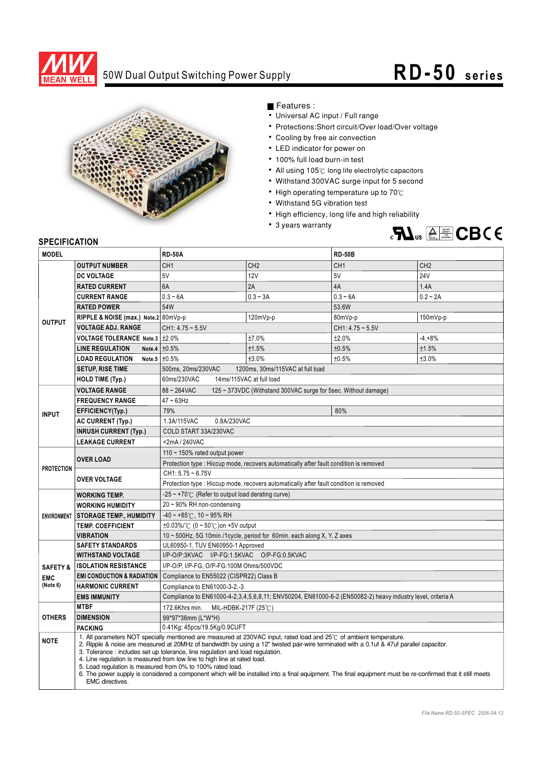

## 50W Dual Output Switching Power Supply **RD-50** series



Features :

- Universal AC input / Full range
- Protections: Short circuit/Over load/Over voltage
- Cooling by free air convection
- LED indicator for power on
- 100% full load burn-in test
- All using 105°C long life electrolytic capacitors
- Withstand 300VAC surge input for 5 second
- High operating temperature up to  $70^{\circ}$ C
- Withstand 5G vibration test
- High efficiency, long life and high reliability
- 3 years warranty



## **SPECIFICATION**

| <b>MODEL</b>           |                                                                                                                                                                                                                                                                                                                                                                                                                                                                                                                                                                                                                                                                                    | <b>RD-50A</b>                                                                                              |                                  | <b>RD-50B</b>         |                 |  |
|------------------------|------------------------------------------------------------------------------------------------------------------------------------------------------------------------------------------------------------------------------------------------------------------------------------------------------------------------------------------------------------------------------------------------------------------------------------------------------------------------------------------------------------------------------------------------------------------------------------------------------------------------------------------------------------------------------------|------------------------------------------------------------------------------------------------------------|----------------------------------|-----------------------|-----------------|--|
| <b>OUTPUT</b>          | <b>OUTPUT NUMBER</b>                                                                                                                                                                                                                                                                                                                                                                                                                                                                                                                                                                                                                                                               | CH <sub>1</sub>                                                                                            | CH <sub>2</sub>                  | CH <sub>1</sub>       | CH <sub>2</sub> |  |
|                        | <b>DC VOLTAGE</b>                                                                                                                                                                                                                                                                                                                                                                                                                                                                                                                                                                                                                                                                  | 5V                                                                                                         | 12V                              | 5V                    | <b>24V</b>      |  |
|                        | <b>RATED CURRENT</b>                                                                                                                                                                                                                                                                                                                                                                                                                                                                                                                                                                                                                                                               | 6A                                                                                                         | 2A                               | 4A                    | 1.4A            |  |
|                        | <b>CURRENT RANGE</b>                                                                                                                                                                                                                                                                                                                                                                                                                                                                                                                                                                                                                                                               | $0.3 - 6A$                                                                                                 | $0.3 - 3A$                       | $0.3 - 6A$            | $0.2 - 2A$      |  |
|                        | <b>RATED POWER</b>                                                                                                                                                                                                                                                                                                                                                                                                                                                                                                                                                                                                                                                                 | 54W                                                                                                        |                                  | 53.6W                 |                 |  |
|                        | RIPPLE & NOISE (max.) Note.2 80mVp-p                                                                                                                                                                                                                                                                                                                                                                                                                                                                                                                                                                                                                                               | 120mVp-p                                                                                                   |                                  | 150mVp-p<br>80mVp-p   |                 |  |
|                        | <b>VOLTAGE ADJ. RANGE</b>                                                                                                                                                                                                                                                                                                                                                                                                                                                                                                                                                                                                                                                          | $CH1: 4.75 - 5.5V$                                                                                         |                                  | $CH1: 4.75 \sim 5.5V$ |                 |  |
|                        | <b>VOLTAGE TOLERANCE Note.3</b>                                                                                                                                                                                                                                                                                                                                                                                                                                                                                                                                                                                                                                                    | ±2.0%                                                                                                      | ±7.0%                            | ±2.0%                 | $-4, +8%$       |  |
|                        | <b>LINE REGULATION</b>                                                                                                                                                                                                                                                                                                                                                                                                                                                                                                                                                                                                                                                             | Note.4 $\pm 0.5\%$                                                                                         | ±1.5%                            | ±0.5%                 | ±1.5%           |  |
|                        | Note.5 $±0.5%$<br><b>LOAD REGULATION</b>                                                                                                                                                                                                                                                                                                                                                                                                                                                                                                                                                                                                                                           |                                                                                                            | ±3.0%                            | ±0.5%                 | ±3.0%           |  |
|                        | <b>SETUP, RISE TIME</b>                                                                                                                                                                                                                                                                                                                                                                                                                                                                                                                                                                                                                                                            | 500ms, 20ms/230VAC                                                                                         | 1200ms. 30ms/115VAC at full load |                       |                 |  |
|                        | <b>HOLD TIME (Typ.)</b>                                                                                                                                                                                                                                                                                                                                                                                                                                                                                                                                                                                                                                                            | 60ms/230VAC<br>14ms/115VAC at full load                                                                    |                                  |                       |                 |  |
| <b>INPUT</b>           | <b>VOLTAGE RANGE</b>                                                                                                                                                                                                                                                                                                                                                                                                                                                                                                                                                                                                                                                               | 88~264VAC<br>125 ~ 373VDC (Withstand 300VAC surge for 5sec. Without damage)                                |                                  |                       |                 |  |
|                        | <b>FREQUENCY RANGE</b>                                                                                                                                                                                                                                                                                                                                                                                                                                                                                                                                                                                                                                                             | $47 - 63$ Hz                                                                                               |                                  |                       |                 |  |
|                        | EFFICIENCY(Typ.)                                                                                                                                                                                                                                                                                                                                                                                                                                                                                                                                                                                                                                                                   | 79%                                                                                                        |                                  | 80%                   |                 |  |
|                        | AC CURRENT (Typ.)                                                                                                                                                                                                                                                                                                                                                                                                                                                                                                                                                                                                                                                                  | 0.8A/230VAC<br>1.3A/115VAC                                                                                 |                                  |                       |                 |  |
|                        | <b>INRUSH CURRENT (Typ.)</b>                                                                                                                                                                                                                                                                                                                                                                                                                                                                                                                                                                                                                                                       | COLD START 33A/230VAC                                                                                      |                                  |                       |                 |  |
|                        | <b>LEAKAGE CURRENT</b>                                                                                                                                                                                                                                                                                                                                                                                                                                                                                                                                                                                                                                                             | <2mA/240VAC                                                                                                |                                  |                       |                 |  |
| <b>PROTECTION</b>      |                                                                                                                                                                                                                                                                                                                                                                                                                                                                                                                                                                                                                                                                                    | 110 $\sim$ 150% rated output power                                                                         |                                  |                       |                 |  |
|                        | <b>OVER LOAD</b>                                                                                                                                                                                                                                                                                                                                                                                                                                                                                                                                                                                                                                                                   | Protection type : Hiccup mode, recovers automatically after fault condition is removed                     |                                  |                       |                 |  |
|                        | <b>OVER VOLTAGE</b>                                                                                                                                                                                                                                                                                                                                                                                                                                                                                                                                                                                                                                                                | $CH1: 5.75 - 6.75V$                                                                                        |                                  |                       |                 |  |
|                        |                                                                                                                                                                                                                                                                                                                                                                                                                                                                                                                                                                                                                                                                                    | Protection type : Hiccup mode, recovers automatically after fault condition is removed                     |                                  |                       |                 |  |
| <b>ENVIRONMENT</b>     | <b>WORKING TEMP.</b>                                                                                                                                                                                                                                                                                                                                                                                                                                                                                                                                                                                                                                                               | $-25 \sim +70^{\circ}$ (Refer to output load derating curve)                                               |                                  |                       |                 |  |
|                        | <b>WORKING HUMIDITY</b>                                                                                                                                                                                                                                                                                                                                                                                                                                                                                                                                                                                                                                                            | 20~90% RH non-condensing                                                                                   |                                  |                       |                 |  |
|                        | <b>STORAGE TEMP., HUMIDITY</b>                                                                                                                                                                                                                                                                                                                                                                                                                                                                                                                                                                                                                                                     | $-40 \sim +85^{\circ}$ C, 10 ~ 95% RH                                                                      |                                  |                       |                 |  |
|                        | <b>TEMP. COEFFICIENT</b>                                                                                                                                                                                                                                                                                                                                                                                                                                                                                                                                                                                                                                                           | $\pm 0.03\%$ / $\degree$ (0 ~ 50 $\degree$ C) on +5V output                                                |                                  |                       |                 |  |
|                        | <b>VIBRATION</b>                                                                                                                                                                                                                                                                                                                                                                                                                                                                                                                                                                                                                                                                   | 10 ~ 500Hz, 5G 10min./1cycle, period for 60min. each along X, Y, Z axes                                    |                                  |                       |                 |  |
|                        | <b>SAFETY STANDARDS</b>                                                                                                                                                                                                                                                                                                                                                                                                                                                                                                                                                                                                                                                            | UL60950-1, TUV EN60950-1 Approved                                                                          |                                  |                       |                 |  |
|                        | <b>WITHSTAND VOLTAGE</b>                                                                                                                                                                                                                                                                                                                                                                                                                                                                                                                                                                                                                                                           | I/P-O/P:3KVAC I/P-FG:1.5KVAC O/P-FG:0.5KVAC                                                                |                                  |                       |                 |  |
| <b>SAFETY &amp;</b>    | <b>ISOLATION RESISTANCE</b>                                                                                                                                                                                                                                                                                                                                                                                                                                                                                                                                                                                                                                                        | I/P-O/P, I/P-FG, O/P-FG:100M Ohms/500VDC                                                                   |                                  |                       |                 |  |
| <b>EMC</b><br>(Note 6) | <b>EMI CONDUCTION &amp; RADIATION</b>                                                                                                                                                                                                                                                                                                                                                                                                                                                                                                                                                                                                                                              | Compliance to EN55022 (CISPR22) Class B                                                                    |                                  |                       |                 |  |
|                        | <b>HARMONIC CURRENT</b>                                                                                                                                                                                                                                                                                                                                                                                                                                                                                                                                                                                                                                                            | Compliance to EN61000-3-2,-3                                                                               |                                  |                       |                 |  |
|                        | <b>EMS IMMUNITY</b>                                                                                                                                                                                                                                                                                                                                                                                                                                                                                                                                                                                                                                                                | Compliance to EN61000-4-2,3,4,5,6,8,11; ENV50204, EN61000-6-2 (EN50082-2) heavy industry level, criteria A |                                  |                       |                 |  |
| <b>OTHERS</b>          | <b>MTBF</b>                                                                                                                                                                                                                                                                                                                                                                                                                                                                                                                                                                                                                                                                        | 172.6Khrs min.<br>MIL-HDBK-217F (25 $\degree$ C)                                                           |                                  |                       |                 |  |
|                        | <b>DIMENSION</b>                                                                                                                                                                                                                                                                                                                                                                                                                                                                                                                                                                                                                                                                   | 99*97*36mm (L*W*H)                                                                                         |                                  |                       |                 |  |
|                        | <b>PACKING</b>                                                                                                                                                                                                                                                                                                                                                                                                                                                                                                                                                                                                                                                                     | 0.41Kg; 45pcs/19.5Kg/0.9CUFT                                                                               |                                  |                       |                 |  |
| <b>NOTE</b>            | 1. All parameters NOT specially mentioned are measured at 230VAC input, rated load and 25°C of ambient temperature.<br>2. Ripple & noise are measured at 20MHz of bandwidth by using a 12" twisted pair-wire terminated with a 0.1uf & 47uf parallel capacitor.<br>3. Tolerance: includes set up tolerance, line regulation and load regulation.<br>4. Line regulation is measured from low line to high line at rated load.<br>5. Load regulation is measured from 0% to 100% rated load.<br>6. The power supply is considered a component which will be installed into a final equipment. The final equipment must be re-confirmed that it still meets<br><b>EMC</b> directives. |                                                                                                            |                                  |                       |                 |  |